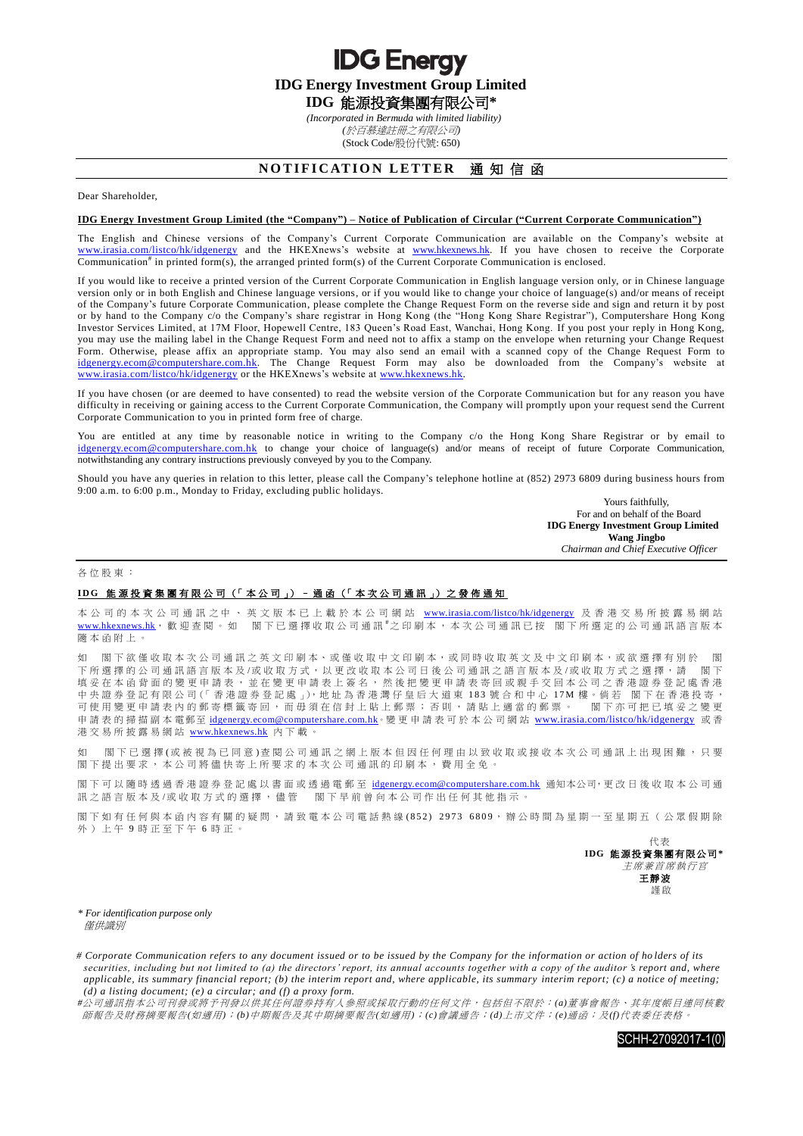**IDG Energy IDG Energy Investment Group Limited IDG** 能源投資集團有限公司**\***

*(Incorporated in Bermuda with limited liability) (*於百慕達註冊之有限公司*)* (Stock Code/股份代號: 650)

## **NOTIFICATION LETTER 通知信函**

Dear Shareholder,

## **IDG Energy Investment Group Limited (the "Company") – Notice of Publication of Circular ("Current Corporate Communication")**

The English and Chinese versions of the Company's Current Corporate Communication are available on the Company's website at [www.irasia.com/listco/hk/idgenergy](http://www.irasia.com/listco/hk/idgenergy) and the HKEXnews's website at [www.hkexnews.hk.](http://www.hkexnews.hk/) If you have chosen to receive the Corporate Communication<sup>#</sup> in printed form(s), the arranged printed form(s) of the Current Corporate Communication is enclosed.

If you would like to receive a printed version of the Current Corporate Communication in English language version only, or in Chinese language version only or in both English and Chinese language versions, or if you would like to change your choice of language(s) and/or means of receipt of the Company's future Corporate Communication, please complete the Change Request Form on the reverse side and sign and return it by post or by hand to the Company c/o the Company's share registrar in Hong Kong (the "Hong Kong Share Registrar"), Computershare Hong Kong Investor Services Limited, at 17M Floor, Hopewell Centre, 183 Queen's Road East, Wanchai, Hong Kong. If you post your reply in Hong Kong, you may use the mailing label in the Change Request Form and need not to affix a stamp on the envelope when returning your Change Request Form. Otherwise, please affix an appropriate stamp. You may also send an email with a scanned copy of the Change Request Form to [idgenergy.ecom@computershare.com.hk.](mailto:idgenergy.ecom@computershare.com.hk) The Change Request Form may also be downloaded from the Company's website at [www.irasia.com/listco/hk/idgenergy](http://www.irasia.com/listco/hk/idgenergy) or the HKEXnews's website a[t www.hkexnews.hk.](http://www.hkexnews.hk/)

If you have chosen (or are deemed to have consented) to read the website version of the Corporate Communication but for any reason you have difficulty in receiving or gaining access to the Current Corporate Communication, the Company will promptly upon your request send the Current Corporate Communication to you in printed form free of charge.

You are entitled at any time by reasonable notice in writing to the Company c/o the Hong Kong Share Registrar or by email to [idgenergy.ecom@computershare.com.hk](mailto:idgenergy.ecom@computershare.com.hk) to change your choice of language(s) and/or means of receipt of future Corporate Communication, notwithstanding any contrary instructions previously conveyed by you to the Company.

Should you have any queries in relation to this letter, please call the Company's telephone hotline at (852) 2973 6809 during business hours from 9:00 a.m. to 6:00 p.m., Monday to Friday, excluding public holidays.

Yours faithfully, For and on behalf of the Board **IDG Energy Investment Group Limited Wang Jingbo** *Chairman and Chief Executive Officer*

## 各位股東 :

## **I D G** 能源投資集團有限公司 (「 本 公 司 」) – 通 函 (「 本 次 公 司 通 訊 」) 之 發 佈 通 知

本 公 司 的 本 次 公 司 通 訊 之 中 、 英 文 版 本 已 上 載 於 本 公 司 網 站 [www.irasia.com/listco/hk/idgenergy](http://www.irasia.com/listco/hk/idgenergy) 及 香 港 交 易 所 披 露 易 網 站 [www.hkexnews.hk](http://www.hkexnews.hk/), 歡 迎 查 閱 。 如 閣下已選擇收取公司通訊 #之印刷本, 本次公司通訊已按 閣下所選定的公司通訊語言版本 隨本函附上 。

如 閣下欲僅收取本次公司通訊之英文印刷本、或僅收取中文印刷本,或同時收取英文及中文印刷本,或欲選擇有別於 閣 下所選擇的公司通訊語言版本及/或收取方式,以更改收取本公司日後公司通訊之語言版本及/或收取方式之選擇,請 閣下 填妥在本函背面的變更申請表,並在變更申請表上簽名,然後把變更申請表寄回或親手交回本公司之香港證券登記處香港 中 央 證 券 登 記 有 限 公 司(「 香 港 證 券 登 記 處 」),地 址 為 香 港 灣 仔 皇 后 大 道 東 1 8 3 號合和中心 17M 樓。倘 若 閣 下 在 香 港 投 寄 , 可使用變更申請表內的郵寄標籤寄回,而毋須在信封上貼上郵票;否則,請貼上適當的郵票。 閣下亦可把已填妥之變更 申請表 的掃描副本 電郵至 idgenergy.ecom@computershare.com.hk。變 更 申請表可於 本公司 網 站 [www.irasia.com/listco/hk/idgenergy](http://www.irasia.com/listco/hk/idgenergy) 或 香 港交易所披露易網站 [www.hkexnews.hk](http://www.hkexnews.hk/) 內 下載。

如 閣下已 選 擇 (或 被 視 為 已 同 意 ) 查 閱 公 司 通 訊 之 網 上 版 本 但 因 任 何 理 由 以 致 收 取 或 接 收 本 次 公 司 通 訊 上 出 現 困 難 , 只 要 閣下提出要求,本公司將儘快寄上所要求的本次公司通訊的印刷本,費用全免

閣下可以隨時透過香港證券登記處以書面或透過電郵至 idgenergy.ecom@computershare.com.hk 通知本公司,更改日後收取本公司通 訊之語言版本及/或收取方式的選擇,儘管 閣下早前曾向本公司作出任何其他指示。

閣下如 有任何與本 函 内 容 有 關 的 疑 問 , 請 致 電 本 公 司 電 話 熱 線 (852) 2973 6809 ,辦 公 時 間 為 星 期 一 至 星 期 五 ( 公 眾 假 期 除 外)上午 9 時正至下午 6 時正。

代表 **IDG** 能源投資集團有限公司 **\*** 主席兼首席執行官 王靜波 謹啟

*\* For identification purpose only* 僅供識別

*# Corporate Communication refers to any document issued or to be issued by the Company for the information or action of ho lders of its securities, including but not limited to (a) the directors' report, its annual accounts together with a copy of the auditor 's report and, where applicable, its summary financial report; (b) the interim report and, where applicable, its summary interim report; (c) a notice of meeting; (d) a listing document; (e) a circular; and (f) a proxy form.*

*#*公司通訊指本公司刊發或將予刊發以供其任何證券持有人參照或採取行動的任何文件,包括但不限於:*(a)*董事會報告、其年度帳目連同核數 師報告及財務摘要報告*(*如適用*)*;*(b)*中期報告及其中期摘要報告*(*如適用*)*;*(c)*會議通告;*(d)*上市文件;*(e)*通函;及*(f)*代表委任表格。

SCHH-27092017-1(0)